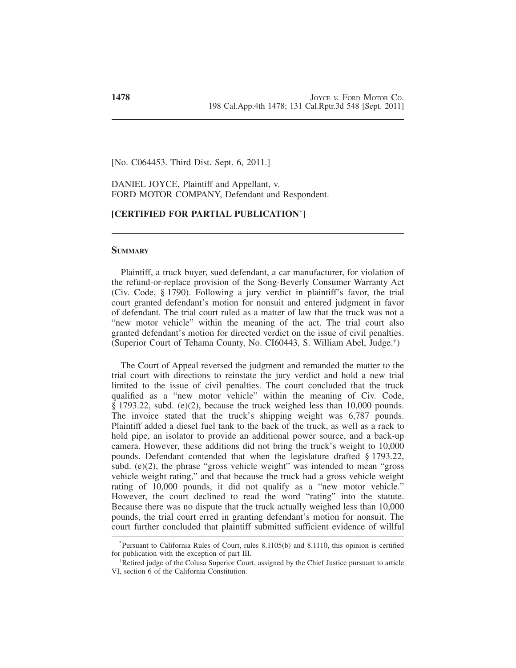[No. C064453. Third Dist. Sept. 6, 2011.]

DANIEL JOYCE, Plaintiff and Appellant, v. FORD MOTOR COMPANY, Defendant and Respondent.

# **[CERTIFIED FOR PARTIAL PUBLICATION**\* **]**

### **SUMMARY**

Plaintiff, a truck buyer, sued defendant, a car manufacturer, for violation of the refund-or-replace provision of the Song-Beverly Consumer Warranty Act (Civ. Code, § 1790). Following a jury verdict in plaintiff's favor, the trial court granted defendant's motion for nonsuit and entered judgment in favor of defendant. The trial court ruled as a matter of law that the truck was not a "new motor vehicle" within the meaning of the act. The trial court also granted defendant's motion for directed verdict on the issue of civil penalties. (Superior Court of Tehama County, No. CI60443, S. William Abel, Judge.† )

The Court of Appeal reversed the judgment and remanded the matter to the trial court with directions to reinstate the jury verdict and hold a new trial limited to the issue of civil penalties. The court concluded that the truck qualified as a "new motor vehicle" within the meaning of Civ. Code, § 1793.22, subd. (e)(2), because the truck weighed less than 10,000 pounds. The invoice stated that the truck's shipping weight was 6,787 pounds. Plaintiff added a diesel fuel tank to the back of the truck, as well as a rack to hold pipe, an isolator to provide an additional power source, and a back-up camera. However, these additions did not bring the truck's weight to 10,000 pounds. Defendant contended that when the legislature drafted § 1793.22, subd. (e)(2), the phrase "gross vehicle weight" was intended to mean "gross" vehicle weight rating," and that because the truck had a gross vehicle weight rating of 10,000 pounds, it did not qualify as a "new motor vehicle." However, the court declined to read the word "rating" into the statute. Because there was no dispute that the truck actually weighed less than 10,000 pounds, the trial court erred in granting defendant's motion for nonsuit. The court further concluded that plaintiff submitted sufficient evidence of willful

<sup>\*</sup> Pursuant to California Rules of Court, rules 8.1105(b) and 8.1110, this opinion is certified for publication with the exception of part III.

<sup>†</sup>Retired judge of the Colusa Superior Court, assigned by the Chief Justice pursuant to article VI, section 6 of the California Constitution.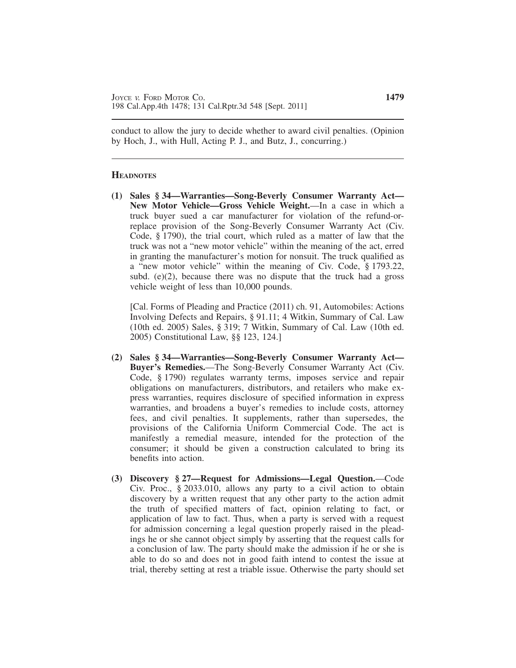conduct to allow the jury to decide whether to award civil penalties. (Opinion by Hoch, J., with Hull, Acting P. J., and Butz, J., concurring.)

### **HEADNOTES**

**(1) Sales § 34—Warranties—Song-Beverly Consumer Warranty Act— New Motor Vehicle—Gross Vehicle Weight.**—In a case in which a truck buyer sued a car manufacturer for violation of the refund-orreplace provision of the Song-Beverly Consumer Warranty Act (Civ. Code, § 1790), the trial court, which ruled as a matter of law that the truck was not a "new motor vehicle" within the meaning of the act, erred in granting the manufacturer's motion for nonsuit. The truck qualified as a "new motor vehicle" within the meaning of Civ. Code, § 1793.22, subd.  $(e)(2)$ , because there was no dispute that the truck had a gross vehicle weight of less than 10,000 pounds.

[Cal. Forms of Pleading and Practice (2011) ch. 91, Automobiles: Actions Involving Defects and Repairs, § 91.11; 4 Witkin, Summary of Cal. Law (10th ed. 2005) Sales, § 319; 7 Witkin, Summary of Cal. Law (10th ed. 2005) Constitutional Law, §§ 123, 124.]

- **(2) Sales § 34—Warranties—Song-Beverly Consumer Warranty Act— Buyer's Remedies.**—The Song-Beverly Consumer Warranty Act (Civ. Code, § 1790) regulates warranty terms, imposes service and repair obligations on manufacturers, distributors, and retailers who make express warranties, requires disclosure of specified information in express warranties, and broadens a buyer's remedies to include costs, attorney fees, and civil penalties. It supplements, rather than supersedes, the provisions of the California Uniform Commercial Code. The act is manifestly a remedial measure, intended for the protection of the consumer; it should be given a construction calculated to bring its benefits into action.
- **(3) Discovery § 27—Request for Admissions—Legal Question.**—Code Civ. Proc., § 2033.010, allows any party to a civil action to obtain discovery by a written request that any other party to the action admit the truth of specified matters of fact, opinion relating to fact, or application of law to fact. Thus, when a party is served with a request for admission concerning a legal question properly raised in the pleadings he or she cannot object simply by asserting that the request calls for a conclusion of law. The party should make the admission if he or she is able to do so and does not in good faith intend to contest the issue at trial, thereby setting at rest a triable issue. Otherwise the party should set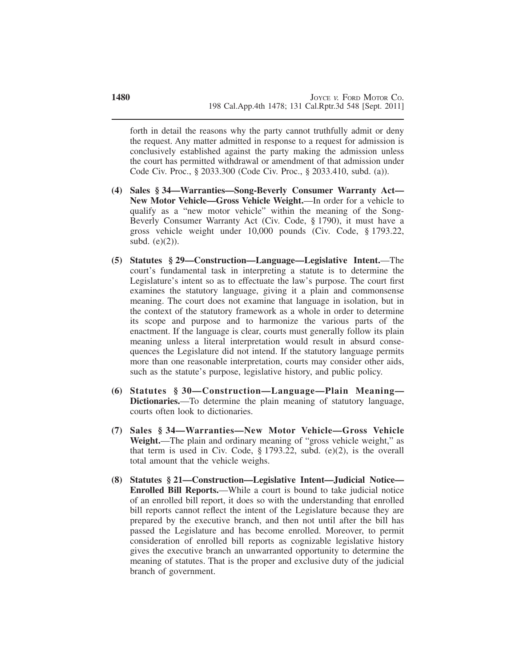forth in detail the reasons why the party cannot truthfully admit or deny the request. Any matter admitted in response to a request for admission is conclusively established against the party making the admission unless the court has permitted withdrawal or amendment of that admission under Code Civ. Proc., § 2033.300 (Code Civ. Proc., § 2033.410, subd. (a)).

- **(4) Sales § 34—Warranties—Song-Beverly Consumer Warranty Act— New Motor Vehicle—Gross Vehicle Weight.**—In order for a vehicle to qualify as a "new motor vehicle" within the meaning of the Song-Beverly Consumer Warranty Act (Civ. Code, § 1790), it must have a gross vehicle weight under 10,000 pounds (Civ. Code, § 1793.22, subd. (e)(2)).
- **(5) Statutes § 29—Construction—Language—Legislative Intent.**—The court's fundamental task in interpreting a statute is to determine the Legislature's intent so as to effectuate the law's purpose. The court first examines the statutory language, giving it a plain and commonsense meaning. The court does not examine that language in isolation, but in the context of the statutory framework as a whole in order to determine its scope and purpose and to harmonize the various parts of the enactment. If the language is clear, courts must generally follow its plain meaning unless a literal interpretation would result in absurd consequences the Legislature did not intend. If the statutory language permits more than one reasonable interpretation, courts may consider other aids, such as the statute's purpose, legislative history, and public policy.
- **(6) Statutes § 30—Construction—Language—Plain Meaning— Dictionaries.**—To determine the plain meaning of statutory language, courts often look to dictionaries.
- **(7) Sales § 34—Warranties—New Motor Vehicle—Gross Vehicle Weight.**—The plain and ordinary meaning of "gross vehicle weight," as that term is used in Civ. Code, § 1793.22, subd. (e)(2), is the overall total amount that the vehicle weighs.
- **(8) Statutes § 21—Construction—Legislative Intent—Judicial Notice— Enrolled Bill Reports.**—While a court is bound to take judicial notice of an enrolled bill report, it does so with the understanding that enrolled bill reports cannot reflect the intent of the Legislature because they are prepared by the executive branch, and then not until after the bill has passed the Legislature and has become enrolled. Moreover, to permit consideration of enrolled bill reports as cognizable legislative history gives the executive branch an unwarranted opportunity to determine the meaning of statutes. That is the proper and exclusive duty of the judicial branch of government.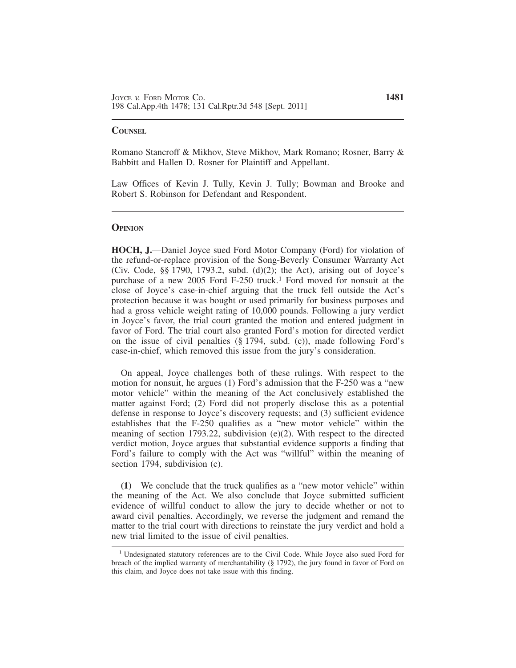### **COUNSEL**

Romano Stancroff & Mikhov, Steve Mikhov, Mark Romano; Rosner, Barry & Babbitt and Hallen D. Rosner for Plaintiff and Appellant.

Law Offices of Kevin J. Tully, Kevin J. Tully; Bowman and Brooke and Robert S. Robinson for Defendant and Respondent.

### **OPINION**

**HOCH, J.**—Daniel Joyce sued Ford Motor Company (Ford) for violation of the refund-or-replace provision of the Song-Beverly Consumer Warranty Act (Civ. Code,  $\S$ § 1790, 1793.2, subd. (d)(2); the Act), arising out of Joyce's purchase of a new 2005 Ford F-250 truck.<sup>1</sup> Ford moved for nonsuit at the close of Joyce's case-in-chief arguing that the truck fell outside the Act's protection because it was bought or used primarily for business purposes and had a gross vehicle weight rating of 10,000 pounds. Following a jury verdict in Joyce's favor, the trial court granted the motion and entered judgment in favor of Ford. The trial court also granted Ford's motion for directed verdict on the issue of civil penalties (§ 1794, subd. (c)), made following Ford's case-in-chief, which removed this issue from the jury's consideration.

On appeal, Joyce challenges both of these rulings. With respect to the motion for nonsuit, he argues (1) Ford's admission that the F-250 was a "new motor vehicle" within the meaning of the Act conclusively established the matter against Ford; (2) Ford did not properly disclose this as a potential defense in response to Joyce's discovery requests; and (3) sufficient evidence establishes that the F-250 qualifies as a "new motor vehicle" within the meaning of section 1793.22, subdivision (e)(2). With respect to the directed verdict motion, Joyce argues that substantial evidence supports a finding that Ford's failure to comply with the Act was "willful" within the meaning of section 1794, subdivision (c).

**(1)** We conclude that the truck qualifies as a "new motor vehicle" within the meaning of the Act. We also conclude that Joyce submitted sufficient evidence of willful conduct to allow the jury to decide whether or not to award civil penalties. Accordingly, we reverse the judgment and remand the matter to the trial court with directions to reinstate the jury verdict and hold a new trial limited to the issue of civil penalties.

<sup>1</sup> Undesignated statutory references are to the Civil Code. While Joyce also sued Ford for breach of the implied warranty of merchantability (§ 1792), the jury found in favor of Ford on this claim, and Joyce does not take issue with this finding.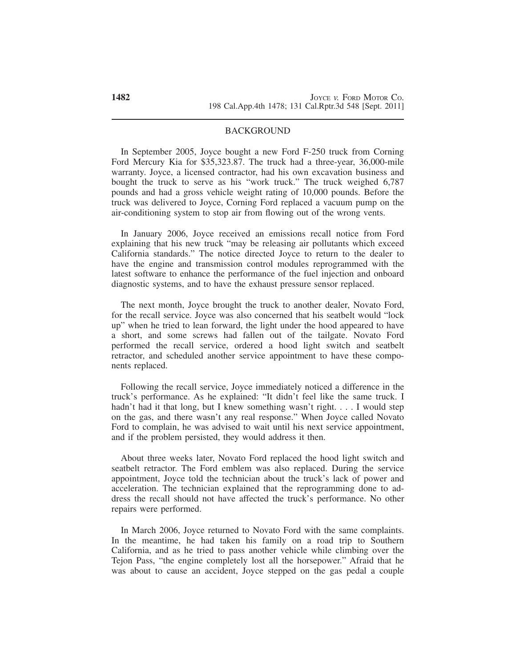### BACKGROUND

In September 2005, Joyce bought a new Ford F-250 truck from Corning Ford Mercury Kia for \$35,323.87. The truck had a three-year, 36,000-mile warranty. Joyce, a licensed contractor, had his own excavation business and bought the truck to serve as his "work truck." The truck weighed 6,787 pounds and had a gross vehicle weight rating of 10,000 pounds. Before the truck was delivered to Joyce, Corning Ford replaced a vacuum pump on the air-conditioning system to stop air from flowing out of the wrong vents.

In January 2006, Joyce received an emissions recall notice from Ford explaining that his new truck "may be releasing air pollutants which exceed California standards." The notice directed Joyce to return to the dealer to have the engine and transmission control modules reprogrammed with the latest software to enhance the performance of the fuel injection and onboard diagnostic systems, and to have the exhaust pressure sensor replaced.

The next month, Joyce brought the truck to another dealer, Novato Ford, for the recall service. Joyce was also concerned that his seatbelt would "lock up" when he tried to lean forward, the light under the hood appeared to have a short, and some screws had fallen out of the tailgate. Novato Ford performed the recall service, ordered a hood light switch and seatbelt retractor, and scheduled another service appointment to have these components replaced.

Following the recall service, Joyce immediately noticed a difference in the truck's performance. As he explained: "It didn't feel like the same truck. I hadn't had it that long, but I knew something wasn't right. . . . I would step on the gas, and there wasn't any real response." When Joyce called Novato Ford to complain, he was advised to wait until his next service appointment, and if the problem persisted, they would address it then.

About three weeks later, Novato Ford replaced the hood light switch and seatbelt retractor. The Ford emblem was also replaced. During the service appointment, Joyce told the technician about the truck's lack of power and acceleration. The technician explained that the reprogramming done to address the recall should not have affected the truck's performance. No other repairs were performed.

In March 2006, Joyce returned to Novato Ford with the same complaints. In the meantime, he had taken his family on a road trip to Southern California, and as he tried to pass another vehicle while climbing over the Tejon Pass, "the engine completely lost all the horsepower." Afraid that he was about to cause an accident, Joyce stepped on the gas pedal a couple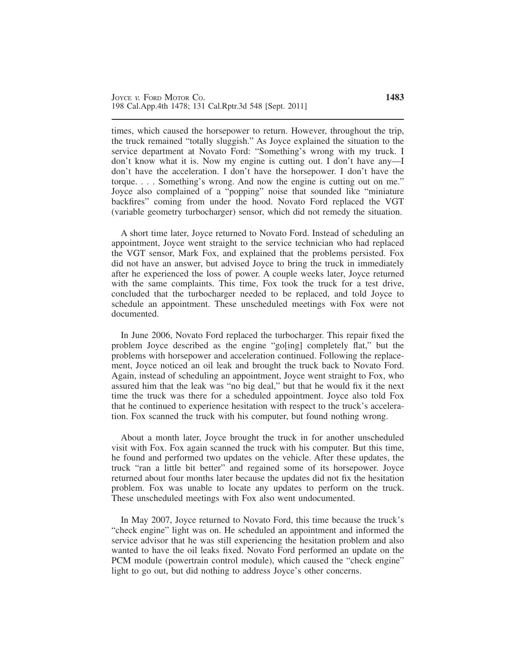times, which caused the horsepower to return. However, throughout the trip, the truck remained "totally sluggish." As Joyce explained the situation to the service department at Novato Ford: "Something's wrong with my truck. I don't know what it is. Now my engine is cutting out. I don't have any—I don't have the acceleration. I don't have the horsepower. I don't have the torque. . . . Something's wrong. And now the engine is cutting out on me." Joyce also complained of a "popping" noise that sounded like "miniature backfires" coming from under the hood. Novato Ford replaced the VGT (variable geometry turbocharger) sensor, which did not remedy the situation.

A short time later, Joyce returned to Novato Ford. Instead of scheduling an appointment, Joyce went straight to the service technician who had replaced the VGT sensor, Mark Fox, and explained that the problems persisted. Fox did not have an answer, but advised Joyce to bring the truck in immediately after he experienced the loss of power. A couple weeks later, Joyce returned with the same complaints. This time, Fox took the truck for a test drive, concluded that the turbocharger needed to be replaced, and told Joyce to schedule an appointment. These unscheduled meetings with Fox were not documented.

In June 2006, Novato Ford replaced the turbocharger. This repair fixed the problem Joyce described as the engine "go[ing] completely flat," but the problems with horsepower and acceleration continued. Following the replacement, Joyce noticed an oil leak and brought the truck back to Novato Ford. Again, instead of scheduling an appointment, Joyce went straight to Fox, who assured him that the leak was "no big deal," but that he would fix it the next time the truck was there for a scheduled appointment. Joyce also told Fox that he continued to experience hesitation with respect to the truck's acceleration. Fox scanned the truck with his computer, but found nothing wrong.

About a month later, Joyce brought the truck in for another unscheduled visit with Fox. Fox again scanned the truck with his computer. But this time, he found and performed two updates on the vehicle. After these updates, the truck "ran a little bit better" and regained some of its horsepower. Joyce returned about four months later because the updates did not fix the hesitation problem. Fox was unable to locate any updates to perform on the truck. These unscheduled meetings with Fox also went undocumented.

In May 2007, Joyce returned to Novato Ford, this time because the truck's "check engine" light was on. He scheduled an appointment and informed the service advisor that he was still experiencing the hesitation problem and also wanted to have the oil leaks fixed. Novato Ford performed an update on the PCM module (powertrain control module), which caused the "check engine" light to go out, but did nothing to address Joyce's other concerns.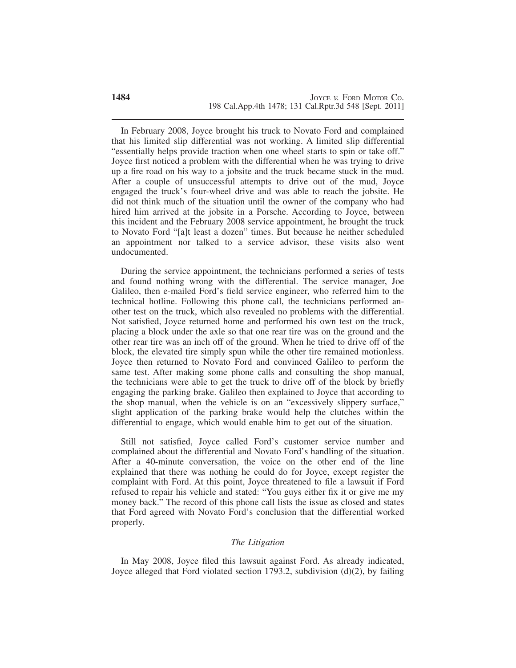In February 2008, Joyce brought his truck to Novato Ford and complained that his limited slip differential was not working. A limited slip differential "essentially helps provide traction when one wheel starts to spin or take off." Joyce first noticed a problem with the differential when he was trying to drive up a fire road on his way to a jobsite and the truck became stuck in the mud. After a couple of unsuccessful attempts to drive out of the mud, Joyce engaged the truck's four-wheel drive and was able to reach the jobsite. He did not think much of the situation until the owner of the company who had hired him arrived at the jobsite in a Porsche. According to Joyce, between this incident and the February 2008 service appointment, he brought the truck to Novato Ford "[a]t least a dozen" times. But because he neither scheduled an appointment nor talked to a service advisor, these visits also went undocumented.

During the service appointment, the technicians performed a series of tests and found nothing wrong with the differential. The service manager, Joe Galileo, then e-mailed Ford's field service engineer, who referred him to the technical hotline. Following this phone call, the technicians performed another test on the truck, which also revealed no problems with the differential. Not satisfied, Joyce returned home and performed his own test on the truck, placing a block under the axle so that one rear tire was on the ground and the other rear tire was an inch off of the ground. When he tried to drive off of the block, the elevated tire simply spun while the other tire remained motionless. Joyce then returned to Novato Ford and convinced Galileo to perform the same test. After making some phone calls and consulting the shop manual, the technicians were able to get the truck to drive off of the block by briefly engaging the parking brake. Galileo then explained to Joyce that according to the shop manual, when the vehicle is on an "excessively slippery surface," slight application of the parking brake would help the clutches within the differential to engage, which would enable him to get out of the situation.

Still not satisfied, Joyce called Ford's customer service number and complained about the differential and Novato Ford's handling of the situation. After a 40-minute conversation, the voice on the other end of the line explained that there was nothing he could do for Joyce, except register the complaint with Ford. At this point, Joyce threatened to file a lawsuit if Ford refused to repair his vehicle and stated: "You guys either fix it or give me my money back." The record of this phone call lists the issue as closed and states that Ford agreed with Novato Ford's conclusion that the differential worked properly.

## *The Litigation*

In May 2008, Joyce filed this lawsuit against Ford. As already indicated, Joyce alleged that Ford violated section 1793.2, subdivision (d)(2), by failing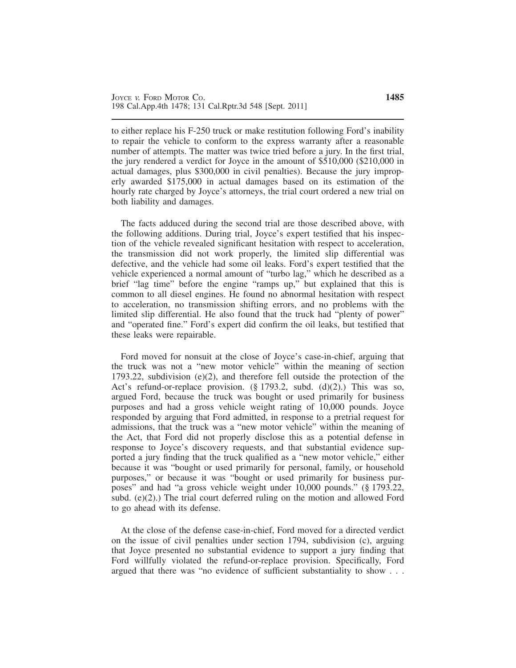to either replace his F-250 truck or make restitution following Ford's inability to repair the vehicle to conform to the express warranty after a reasonable number of attempts. The matter was twice tried before a jury. In the first trial, the jury rendered a verdict for Joyce in the amount of \$510,000 (\$210,000 in actual damages, plus \$300,000 in civil penalties). Because the jury improperly awarded \$175,000 in actual damages based on its estimation of the hourly rate charged by Joyce's attorneys, the trial court ordered a new trial on both liability and damages.

The facts adduced during the second trial are those described above, with the following additions. During trial, Joyce's expert testified that his inspection of the vehicle revealed significant hesitation with respect to acceleration, the transmission did not work properly, the limited slip differential was defective, and the vehicle had some oil leaks. Ford's expert testified that the vehicle experienced a normal amount of "turbo lag," which he described as a brief "lag time" before the engine "ramps up," but explained that this is common to all diesel engines. He found no abnormal hesitation with respect to acceleration, no transmission shifting errors, and no problems with the limited slip differential. He also found that the truck had "plenty of power" and "operated fine." Ford's expert did confirm the oil leaks, but testified that these leaks were repairable.

Ford moved for nonsuit at the close of Joyce's case-in-chief, arguing that the truck was not a "new motor vehicle" within the meaning of section 1793.22, subdivision (e)(2), and therefore fell outside the protection of the Act's refund-or-replace provision.  $(\S 1793.2, \text{subd.} (d)(2))$ . This was so, argued Ford, because the truck was bought or used primarily for business purposes and had a gross vehicle weight rating of 10,000 pounds. Joyce responded by arguing that Ford admitted, in response to a pretrial request for admissions, that the truck was a "new motor vehicle" within the meaning of the Act, that Ford did not properly disclose this as a potential defense in response to Joyce's discovery requests, and that substantial evidence supported a jury finding that the truck qualified as a "new motor vehicle," either because it was "bought or used primarily for personal, family, or household purposes," or because it was "bought or used primarily for business purposes" and had "a gross vehicle weight under 10,000 pounds." (§ 1793.22, subd. (e)(2).) The trial court deferred ruling on the motion and allowed Ford to go ahead with its defense.

At the close of the defense case-in-chief, Ford moved for a directed verdict on the issue of civil penalties under section 1794, subdivision (c), arguing that Joyce presented no substantial evidence to support a jury finding that Ford willfully violated the refund-or-replace provision. Specifically, Ford argued that there was "no evidence of sufficient substantiality to show . . .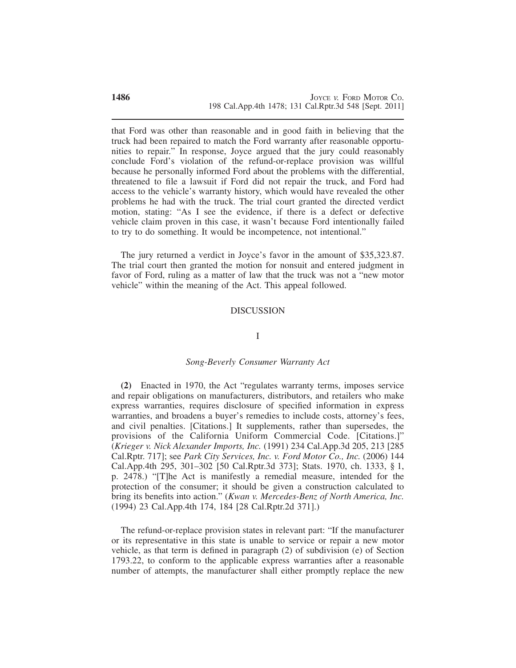that Ford was other than reasonable and in good faith in believing that the truck had been repaired to match the Ford warranty after reasonable opportunities to repair." In response, Joyce argued that the jury could reasonably conclude Ford's violation of the refund-or-replace provision was willful because he personally informed Ford about the problems with the differential, threatened to file a lawsuit if Ford did not repair the truck, and Ford had access to the vehicle's warranty history, which would have revealed the other problems he had with the truck. The trial court granted the directed verdict motion, stating: "As I see the evidence, if there is a defect or defective vehicle claim proven in this case, it wasn't because Ford intentionally failed to try to do something. It would be incompetence, not intentional."

The jury returned a verdict in Joyce's favor in the amount of \$35,323.87. The trial court then granted the motion for nonsuit and entered judgment in favor of Ford, ruling as a matter of law that the truck was not a "new motor vehicle" within the meaning of the Act. This appeal followed.

### DISCUSSION

## I

### *Song-Beverly Consumer Warranty Act*

**(2)** Enacted in 1970, the Act "regulates warranty terms, imposes service and repair obligations on manufacturers, distributors, and retailers who make express warranties, requires disclosure of specified information in express warranties, and broadens a buyer's remedies to include costs, attorney's fees, and civil penalties. [Citations.] It supplements, rather than supersedes, the provisions of the California Uniform Commercial Code. [Citations.]" (*Krieger v. Nick Alexander Imports, Inc.* (1991) 234 Cal.App.3d 205, 213 [285 Cal.Rptr. 717]; see *Park City Services, Inc. v. Ford Motor Co., Inc.* (2006) 144 Cal.App.4th 295, 301–302 [50 Cal.Rptr.3d 373]; Stats. 1970, ch. 1333, § 1, p. 2478.) "[T]he Act is manifestly a remedial measure, intended for the protection of the consumer; it should be given a construction calculated to bring its benefits into action." (*Kwan v. Mercedes-Benz of North America, Inc.* (1994) 23 Cal.App.4th 174, 184 [28 Cal.Rptr.2d 371].)

The refund-or-replace provision states in relevant part: "If the manufacturer or its representative in this state is unable to service or repair a new motor vehicle, as that term is defined in paragraph (2) of subdivision (e) of Section 1793.22, to conform to the applicable express warranties after a reasonable number of attempts, the manufacturer shall either promptly replace the new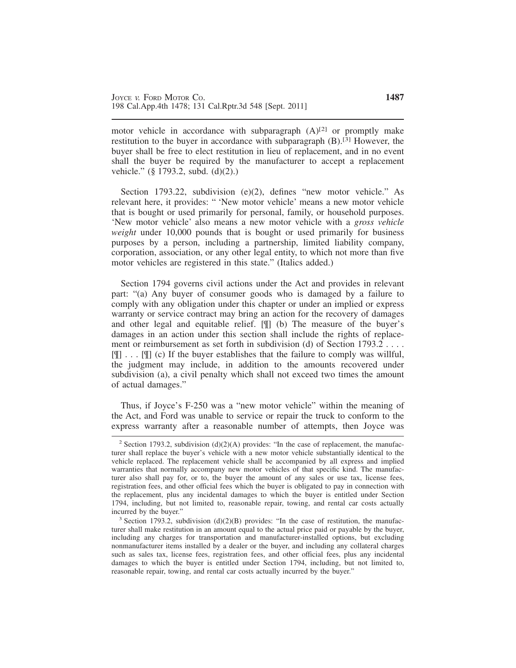motor vehicle in accordance with subparagraph  $(A)^{[2]}$  or promptly make restitution to the buyer in accordance with subparagraph (B).<sup>[3]</sup> However, the buyer shall be free to elect restitution in lieu of replacement, and in no event shall the buyer be required by the manufacturer to accept a replacement vehicle." (§ 1793.2, subd. (d)(2).)

Section 1793.22, subdivision (e)(2), defines "new motor vehicle." As relevant here, it provides: " 'New motor vehicle' means a new motor vehicle that is bought or used primarily for personal, family, or household purposes. 'New motor vehicle' also means a new motor vehicle with a *gross vehicle weight* under 10,000 pounds that is bought or used primarily for business purposes by a person, including a partnership, limited liability company, corporation, association, or any other legal entity, to which not more than five motor vehicles are registered in this state." (Italics added.)

Section 1794 governs civil actions under the Act and provides in relevant part: "(a) Any buyer of consumer goods who is damaged by a failure to comply with any obligation under this chapter or under an implied or express warranty or service contract may bring an action for the recovery of damages and other legal and equitable relief. [¶] (b) The measure of the buyer's damages in an action under this section shall include the rights of replacement or reimbursement as set forth in subdivision (d) of Section 1793.2 . . . .  $[\mathbb{T}]$ ...  $[\mathbb{T}]$  (c) If the buyer establishes that the failure to comply was willful, the judgment may include, in addition to the amounts recovered under subdivision (a), a civil penalty which shall not exceed two times the amount of actual damages."

Thus, if Joyce's F-250 was a "new motor vehicle" within the meaning of the Act, and Ford was unable to service or repair the truck to conform to the express warranty after a reasonable number of attempts, then Joyce was

<sup>&</sup>lt;sup>2</sup> Section 1793.2, subdivision (d)(2)(A) provides: "In the case of replacement, the manufacturer shall replace the buyer's vehicle with a new motor vehicle substantially identical to the vehicle replaced. The replacement vehicle shall be accompanied by all express and implied warranties that normally accompany new motor vehicles of that specific kind. The manufacturer also shall pay for, or to, the buyer the amount of any sales or use tax, license fees, registration fees, and other official fees which the buyer is obligated to pay in connection with the replacement, plus any incidental damages to which the buyer is entitled under Section 1794, including, but not limited to, reasonable repair, towing, and rental car costs actually incurred by the buyer."

 $3$  Section 1793.2, subdivision (d)(2)(B) provides: "In the case of restitution, the manufacturer shall make restitution in an amount equal to the actual price paid or payable by the buyer, including any charges for transportation and manufacturer-installed options, but excluding nonmanufacturer items installed by a dealer or the buyer, and including any collateral charges such as sales tax, license fees, registration fees, and other official fees, plus any incidental damages to which the buyer is entitled under Section 1794, including, but not limited to, reasonable repair, towing, and rental car costs actually incurred by the buyer."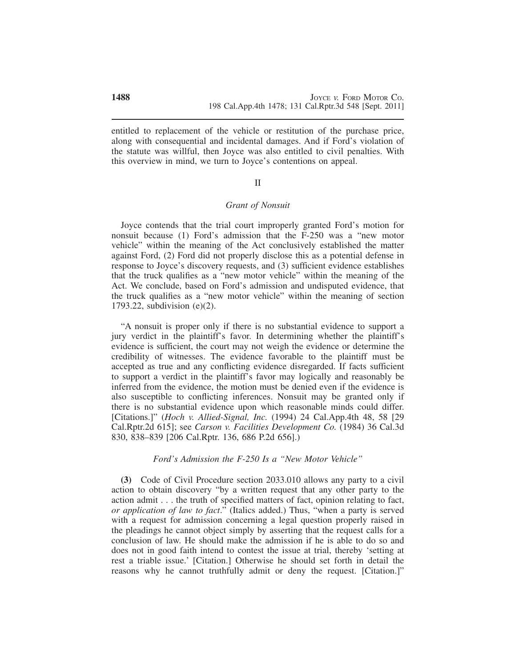entitled to replacement of the vehicle or restitution of the purchase price, along with consequential and incidental damages. And if Ford's violation of the statute was willful, then Joyce was also entitled to civil penalties. With this overview in mind, we turn to Joyce's contentions on appeal.

#### II

### *Grant of Nonsuit*

Joyce contends that the trial court improperly granted Ford's motion for nonsuit because (1) Ford's admission that the F-250 was a "new motor vehicle" within the meaning of the Act conclusively established the matter against Ford, (2) Ford did not properly disclose this as a potential defense in response to Joyce's discovery requests, and (3) sufficient evidence establishes that the truck qualifies as a "new motor vehicle" within the meaning of the Act. We conclude, based on Ford's admission and undisputed evidence, that the truck qualifies as a "new motor vehicle" within the meaning of section 1793.22, subdivision (e)(2).

"A nonsuit is proper only if there is no substantial evidence to support a jury verdict in the plaintiff's favor. In determining whether the plaintiff's evidence is sufficient, the court may not weigh the evidence or determine the credibility of witnesses. The evidence favorable to the plaintiff must be accepted as true and any conflicting evidence disregarded. If facts sufficient to support a verdict in the plaintiff's favor may logically and reasonably be inferred from the evidence, the motion must be denied even if the evidence is also susceptible to conflicting inferences. Nonsuit may be granted only if there is no substantial evidence upon which reasonable minds could differ. [Citations.]" (*Hoch v. Allied-Signal, Inc.* (1994) 24 Cal.App.4th 48, 58 [29 Cal.Rptr.2d 615]; see *Carson v. Facilities Development Co.* (1984) 36 Cal.3d 830, 838–839 [206 Cal.Rptr. 136, 686 P.2d 656].)

## *Ford's Admission the F-250 Is a "New Motor Vehicle"*

**(3)** Code of Civil Procedure section 2033.010 allows any party to a civil action to obtain discovery "by a written request that any other party to the action admit . . . the truth of specified matters of fact, opinion relating to fact, *or application of law to fact*." (Italics added.) Thus, "when a party is served with a request for admission concerning a legal question properly raised in the pleadings he cannot object simply by asserting that the request calls for a conclusion of law. He should make the admission if he is able to do so and does not in good faith intend to contest the issue at trial, thereby 'setting at rest a triable issue.' [Citation.] Otherwise he should set forth in detail the reasons why he cannot truthfully admit or deny the request. [Citation.]"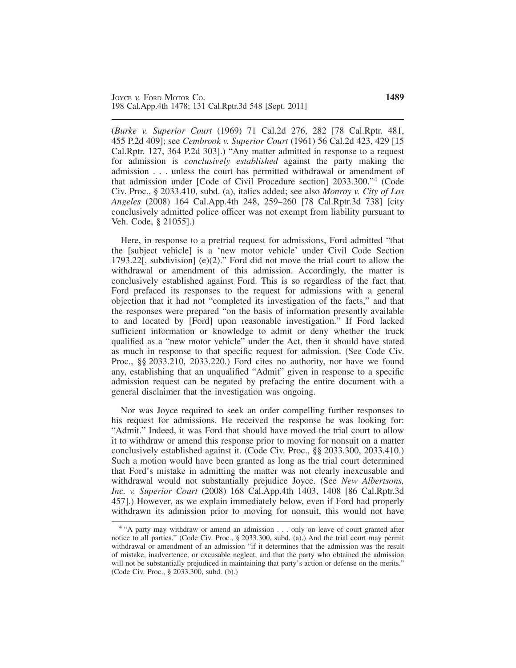(*Burke v. Superior Court* (1969) 71 Cal.2d 276, 282 [78 Cal.Rptr. 481, 455 P.2d 409]; see *Cembrook v. Superior Court* (1961) 56 Cal.2d 423, 429 [15 Cal.Rptr. 127, 364 P.2d 303].) "Any matter admitted in response to a request for admission is *conclusively established* against the party making the admission . . . unless the court has permitted withdrawal or amendment of that admission under [Code of Civil Procedure section] 2033.300."<sup>4</sup> (Code Civ. Proc., § 2033.410, subd. (a), italics added; see also *Monroy v. City of Los Angeles* (2008) 164 Cal.App.4th 248, 259–260 [78 Cal.Rptr.3d 738] [city conclusively admitted police officer was not exempt from liability pursuant to Veh. Code, § 21055].)

Here, in response to a pretrial request for admissions, Ford admitted "that the [subject vehicle] is a 'new motor vehicle' under Civil Code Section 1793.22[, subdivision] (e)(2)." Ford did not move the trial court to allow the withdrawal or amendment of this admission. Accordingly, the matter is conclusively established against Ford. This is so regardless of the fact that Ford prefaced its responses to the request for admissions with a general objection that it had not "completed its investigation of the facts," and that the responses were prepared "on the basis of information presently available to and located by [Ford] upon reasonable investigation." If Ford lacked sufficient information or knowledge to admit or deny whether the truck qualified as a "new motor vehicle" under the Act, then it should have stated as much in response to that specific request for admission. (See Code Civ. Proc., §§ 2033.210, 2033.220.) Ford cites no authority, nor have we found any, establishing that an unqualified "Admit" given in response to a specific admission request can be negated by prefacing the entire document with a general disclaimer that the investigation was ongoing.

Nor was Joyce required to seek an order compelling further responses to his request for admissions. He received the response he was looking for: "Admit." Indeed, it was Ford that should have moved the trial court to allow it to withdraw or amend this response prior to moving for nonsuit on a matter conclusively established against it. (Code Civ. Proc., §§ 2033.300, 2033.410.) Such a motion would have been granted as long as the trial court determined that Ford's mistake in admitting the matter was not clearly inexcusable and withdrawal would not substantially prejudice Joyce. (See *New Albertsons, Inc. v. Superior Court* (2008) 168 Cal.App.4th 1403, 1408 [86 Cal.Rptr.3d 457].) However, as we explain immediately below, even if Ford had properly withdrawn its admission prior to moving for nonsuit, this would not have

<sup>&</sup>lt;sup>4</sup> "A party may withdraw or amend an admission . . . only on leave of court granted after notice to all parties." (Code Civ. Proc., § 2033.300, subd. (a).) And the trial court may permit withdrawal or amendment of an admission "if it determines that the admission was the result of mistake, inadvertence, or excusable neglect, and that the party who obtained the admission will not be substantially prejudiced in maintaining that party's action or defense on the merits." (Code Civ. Proc., § 2033.300, subd. (b).)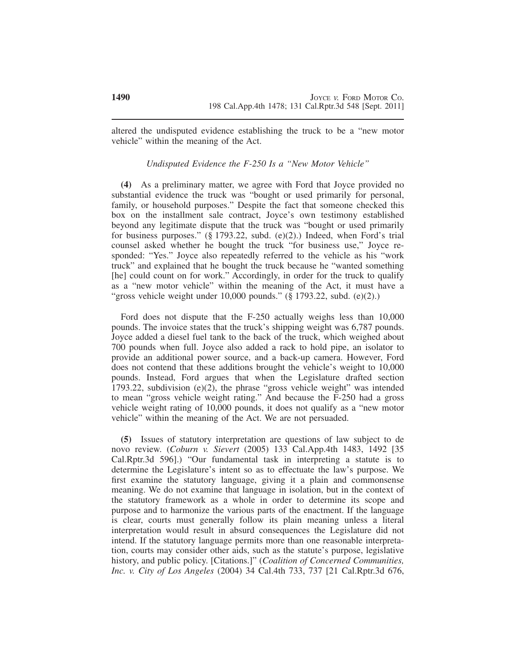altered the undisputed evidence establishing the truck to be a "new motor vehicle" within the meaning of the Act.

# *Undisputed Evidence the F-250 Is a "New Motor Vehicle"*

**(4)** As a preliminary matter, we agree with Ford that Joyce provided no substantial evidence the truck was "bought or used primarily for personal, family, or household purposes." Despite the fact that someone checked this box on the installment sale contract, Joyce's own testimony established beyond any legitimate dispute that the truck was "bought or used primarily for business purposes." (§ 1793.22, subd. (e)(2).) Indeed, when Ford's trial counsel asked whether he bought the truck "for business use," Joyce responded: "Yes." Joyce also repeatedly referred to the vehicle as his "work truck" and explained that he bought the truck because he "wanted something [he] could count on for work." Accordingly, in order for the truck to qualify as a "new motor vehicle" within the meaning of the Act, it must have a "gross vehicle weight under  $10,000$  pounds." (§ 1793.22, subd. (e)(2).)

Ford does not dispute that the F-250 actually weighs less than 10,000 pounds. The invoice states that the truck's shipping weight was 6,787 pounds. Joyce added a diesel fuel tank to the back of the truck, which weighed about 700 pounds when full. Joyce also added a rack to hold pipe, an isolator to provide an additional power source, and a back-up camera. However, Ford does not contend that these additions brought the vehicle's weight to 10,000 pounds. Instead, Ford argues that when the Legislature drafted section 1793.22, subdivision (e)(2), the phrase "gross vehicle weight" was intended to mean "gross vehicle weight rating." And because the F-250 had a gross vehicle weight rating of 10,000 pounds, it does not qualify as a "new motor vehicle" within the meaning of the Act. We are not persuaded.

**(5)** Issues of statutory interpretation are questions of law subject to de novo review. (*Coburn v. Sievert* (2005) 133 Cal.App.4th 1483, 1492 [35 Cal.Rptr.3d 596].) "Our fundamental task in interpreting a statute is to determine the Legislature's intent so as to effectuate the law's purpose. We first examine the statutory language, giving it a plain and commonsense meaning. We do not examine that language in isolation, but in the context of the statutory framework as a whole in order to determine its scope and purpose and to harmonize the various parts of the enactment. If the language is clear, courts must generally follow its plain meaning unless a literal interpretation would result in absurd consequences the Legislature did not intend. If the statutory language permits more than one reasonable interpretation, courts may consider other aids, such as the statute's purpose, legislative history, and public policy. [Citations.]" (*Coalition of Concerned Communities, Inc. v. City of Los Angeles* (2004) 34 Cal.4th 733, 737 [21 Cal.Rptr.3d 676,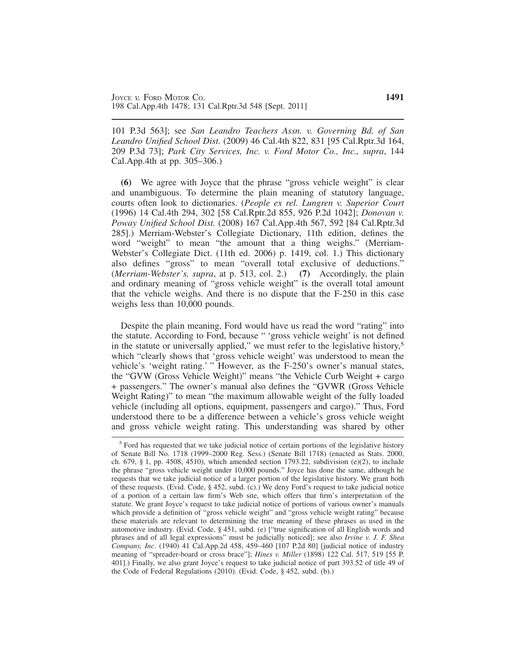101 P.3d 563]; see *San Leandro Teachers Assn. v. Governing Bd. of San Leandro Unified School Dist.* (2009) 46 Cal.4th 822, 831 [95 Cal.Rptr.3d 164, 209 P.3d 73]; *Park City Services, Inc. v. Ford Motor Co., Inc., supra*, 144 Cal.App.4th at pp. 305–306.)

**(6)** We agree with Joyce that the phrase "gross vehicle weight" is clear and unambiguous. To determine the plain meaning of statutory language, courts often look to dictionaries. (*People ex rel. Lungren v. Superior Court* (1996) 14 Cal.4th 294, 302 [58 Cal.Rptr.2d 855, 926 P.2d 1042]; *Donovan v. Poway Unified School Dist.* (2008) 167 Cal.App.4th 567, 592 [84 Cal.Rptr.3d 285].) Merriam-Webster's Collegiate Dictionary, 11th edition, defines the word "weight" to mean "the amount that a thing weighs." (Merriam-Webster's Collegiate Dict. (11th ed. 2006) p. 1419, col. 1.) This dictionary also defines "gross" to mean "overall total exclusive of deductions." (*Merriam-Webster's, supra*, at p. 513, col. 2.) **(7)** Accordingly, the plain and ordinary meaning of "gross vehicle weight" is the overall total amount that the vehicle weighs. And there is no dispute that the F-250 in this case weighs less than 10,000 pounds.

Despite the plain meaning, Ford would have us read the word "rating" into the statute. According to Ford, because " 'gross vehicle weight' is not defined in the statute or universally applied," we must refer to the legislative history,<sup>5</sup> which "clearly shows that 'gross vehicle weight' was understood to mean the vehicle's 'weight rating.' " However, as the F-250's owner's manual states, the "GVW (Gross Vehicle Weight)" means "the Vehicle Curb Weight + cargo + passengers." The owner's manual also defines the "GVWR (Gross Vehicle Weight Rating)" to mean "the maximum allowable weight of the fully loaded vehicle (including all options, equipment, passengers and cargo)." Thus, Ford understood there to be a difference between a vehicle's gross vehicle weight and gross vehicle weight rating. This understanding was shared by other

<sup>&</sup>lt;sup>5</sup> Ford has requested that we take judicial notice of certain portions of the legislative history of Senate Bill No. 1718 (1999–2000 Reg. Sess.) (Senate Bill 1718) (enacted as Stats. 2000, ch. 679, § 1, pp. 4508, 4510), which amended section 1793.22, subdivision (e)(2), to include the phrase "gross vehicle weight under 10,000 pounds." Joyce has done the same, although he requests that we take judicial notice of a larger portion of the legislative history. We grant both of these requests. (Evid. Code, § 452, subd. (c).) We deny Ford's request to take judicial notice of a portion of a certain law firm's Web site, which offers that firm's interpretation of the statute. We grant Joyce's request to take judicial notice of portions of various owner's manuals which provide a definition of "gross vehicle weight" and "gross vehicle weight rating" because these materials are relevant to determining the true meaning of these phrases as used in the automotive industry. (Evid. Code, § 451, subd. (e) ["true signification of all English words and phrases and of all legal expressions" must be judicially noticed]; see also *Irvine v. J. F. Shea Company, Inc*. (1940) 41 Cal.App.2d 458, 459–460 [107 P.2d 80] [judicial notice of industry meaning of "spreader-board or cross brace"]; *Hines v. Miller* (1898) 122 Cal. 517, 519 [55 P. 401].) Finally, we also grant Joyce's request to take judicial notice of part 393.52 of title 49 of the Code of Federal Regulations (2010). (Evid. Code, § 452, subd. (b).)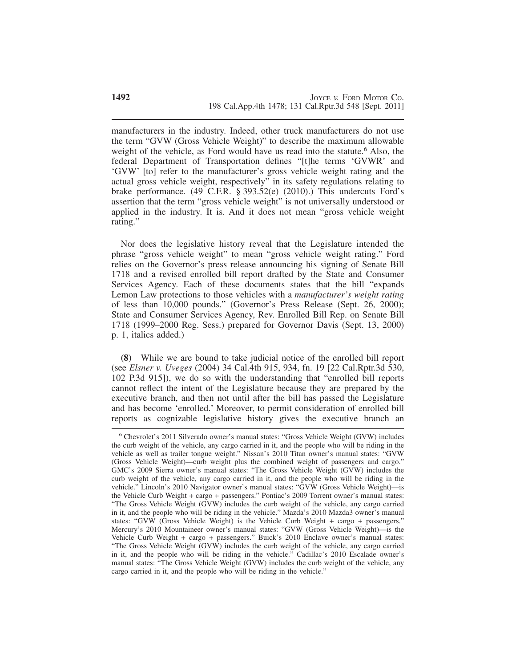manufacturers in the industry. Indeed, other truck manufacturers do not use the term "GVW (Gross Vehicle Weight)" to describe the maximum allowable weight of the vehicle, as Ford would have us read into the statute.<sup>6</sup> Also, the federal Department of Transportation defines "[t]he terms 'GVWR' and 'GVW' [to] refer to the manufacturer's gross vehicle weight rating and the actual gross vehicle weight, respectively" in its safety regulations relating to brake performance. (49 C.F.R. § 393.52(e) (2010).) This undercuts Ford's assertion that the term "gross vehicle weight" is not universally understood or applied in the industry. It is. And it does not mean "gross vehicle weight rating."

Nor does the legislative history reveal that the Legislature intended the phrase "gross vehicle weight" to mean "gross vehicle weight rating." Ford relies on the Governor's press release announcing his signing of Senate Bill 1718 and a revised enrolled bill report drafted by the State and Consumer Services Agency. Each of these documents states that the bill "expands Lemon Law protections to those vehicles with a *manufacturer's weight rating* of less than 10,000 pounds." (Governor's Press Release (Sept. 26, 2000); State and Consumer Services Agency, Rev. Enrolled Bill Rep. on Senate Bill 1718 (1999–2000 Reg. Sess.) prepared for Governor Davis (Sept. 13, 2000) p. 1, italics added.)

**(8)** While we are bound to take judicial notice of the enrolled bill report (see *Elsner v. Uveges* (2004) 34 Cal.4th 915, 934, fn. 19 [22 Cal.Rptr.3d 530, 102 P.3d 915]), we do so with the understanding that "enrolled bill reports cannot reflect the intent of the Legislature because they are prepared by the executive branch, and then not until after the bill has passed the Legislature and has become 'enrolled.' Moreover, to permit consideration of enrolled bill reports as cognizable legislative history gives the executive branch an

<sup>6</sup> Chevrolet's 2011 Silverado owner's manual states: "Gross Vehicle Weight (GVW) includes the curb weight of the vehicle, any cargo carried in it, and the people who will be riding in the vehicle as well as trailer tongue weight." Nissan's 2010 Titan owner's manual states: "GVW (Gross Vehicle Weight)—curb weight plus the combined weight of passengers and cargo." GMC's 2009 Sierra owner's manual states: "The Gross Vehicle Weight (GVW) includes the curb weight of the vehicle, any cargo carried in it, and the people who will be riding in the vehicle." Lincoln's 2010 Navigator owner's manual states: "GVW (Gross Vehicle Weight)—is the Vehicle Curb Weight + cargo + passengers." Pontiac's 2009 Torrent owner's manual states: "The Gross Vehicle Weight (GVW) includes the curb weight of the vehicle, any cargo carried in it, and the people who will be riding in the vehicle." Mazda's 2010 Mazda3 owner's manual states: "GVW (Gross Vehicle Weight) is the Vehicle Curb Weight + cargo + passengers." Mercury's 2010 Mountaineer owner's manual states: "GVW (Gross Vehicle Weight)—is the Vehicle Curb Weight + cargo + passengers." Buick's 2010 Enclave owner's manual states: "The Gross Vehicle Weight (GVW) includes the curb weight of the vehicle, any cargo carried in it, and the people who will be riding in the vehicle." Cadillac's 2010 Escalade owner's manual states: "The Gross Vehicle Weight (GVW) includes the curb weight of the vehicle, any cargo carried in it, and the people who will be riding in the vehicle."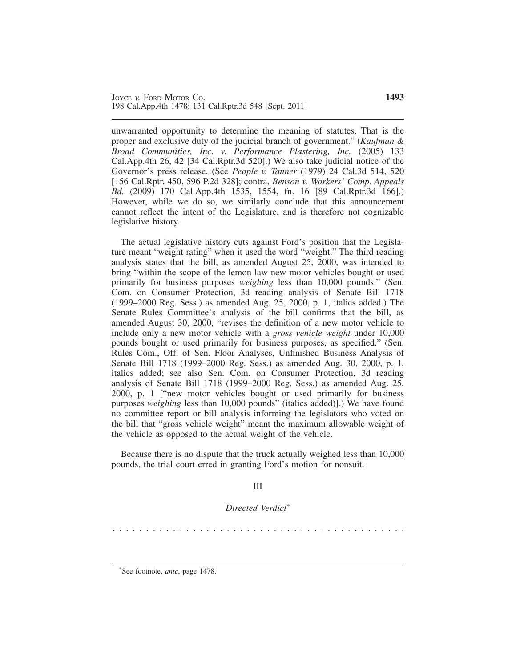unwarranted opportunity to determine the meaning of statutes. That is the proper and exclusive duty of the judicial branch of government." (*Kaufman & Broad Communities, Inc. v. Performance Plastering, Inc.* (2005) 133 Cal.App.4th 26, 42 [34 Cal.Rptr.3d 520].) We also take judicial notice of the Governor's press release. (See *People v. Tanner* (1979) 24 Cal.3d 514, 520 [156 Cal.Rptr. 450, 596 P.2d 328]; contra, *Benson v. Workers' Comp. Appeals Bd.* (2009) 170 Cal.App.4th 1535, 1554, fn. 16 [89 Cal.Rptr.3d 166].) However, while we do so, we similarly conclude that this announcement cannot reflect the intent of the Legislature, and is therefore not cognizable legislative history.

The actual legislative history cuts against Ford's position that the Legislature meant "weight rating" when it used the word "weight." The third reading analysis states that the bill, as amended August 25, 2000, was intended to bring "within the scope of the lemon law new motor vehicles bought or used primarily for business purposes *weighing* less than 10,000 pounds." (Sen. Com. on Consumer Protection, 3d reading analysis of Senate Bill 1718 (1999–2000 Reg. Sess.) as amended Aug. 25, 2000, p. 1, italics added.) The Senate Rules Committee's analysis of the bill confirms that the bill, as amended August 30, 2000, "revises the definition of a new motor vehicle to include only a new motor vehicle with a *gross vehicle weight* under 10,000 pounds bought or used primarily for business purposes, as specified." (Sen. Rules Com., Off. of Sen. Floor Analyses, Unfinished Business Analysis of Senate Bill 1718 (1999–2000 Reg. Sess.) as amended Aug. 30, 2000, p. 1, italics added; see also Sen. Com. on Consumer Protection, 3d reading analysis of Senate Bill 1718 (1999–2000 Reg. Sess.) as amended Aug. 25, 2000, p. 1 ["new motor vehicles bought or used primarily for business purposes *weighing* less than 10,000 pounds" (italics added)].) We have found no committee report or bill analysis informing the legislators who voted on the bill that "gross vehicle weight" meant the maximum allowable weight of the vehicle as opposed to the actual weight of the vehicle.

Because there is no dispute that the truck actually weighed less than 10,000 pounds, the trial court erred in granting Ford's motion for nonsuit.

III

*Directed Verdict*\*

. . . . . . . . . . . . . . . . . . . . . . . . . . . . . . . . . . . . . . . . . . . .

\* See footnote, *ante*, page 1478.